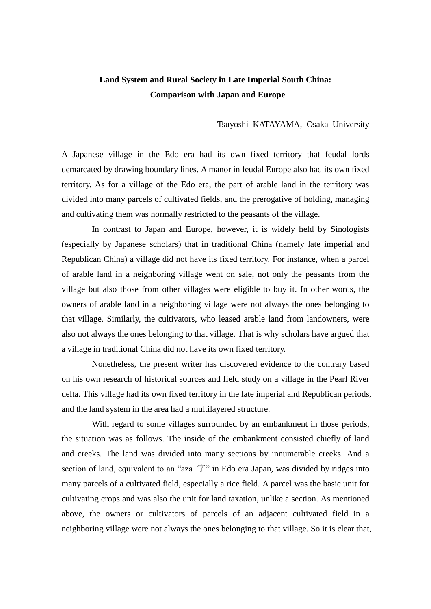## **Land System and Rural Society in Late Imperial South China: Comparison with Japan and Europe**

Tsuyoshi KATAYAMA, Osaka University

A Japanese village in the Edo era had its own fixed territory that feudal lords demarcated by drawing boundary lines. A manor in feudal Europe also had its own fixed territory. As for a village of the Edo era, the part of arable land in the territory was divided into many parcels of cultivated fields, and the prerogative of holding, managing and cultivating them was normally restricted to the peasants of the village.

In contrast to Japan and Europe, however, it is widely held by Sinologists (especially by Japanese scholars) that in traditional China (namely late imperial and Republican China) a village did not have its fixed territory. For instance, when a parcel of arable land in a neighboring village went on sale, not only the peasants from the village but also those from other villages were eligible to buy it. In other words, the owners of arable land in a neighboring village were not always the ones belonging to that village. Similarly, the cultivators, who leased arable land from landowners, were also not always the ones belonging to that village. That is why scholars have argued that a village in traditional China did not have its own fixed territory.

Nonetheless, the present writer has discovered evidence to the contrary based on his own research of historical sources and field study on a village in the Pearl River delta. This village had its own fixed territory in the late imperial and Republican periods, and the land system in the area had a multilayered structure.

With regard to some villages surrounded by an embankment in those periods, the situation was as follows. The inside of the embankment consisted chiefly of land and creeks. The land was divided into many sections by innumerable creeks. And a section of land, equivalent to an "aza  $\hat{\pm}$ " in Edo era Japan, was divided by ridges into many parcels of a cultivated field, especially a rice field. A parcel was the basic unit for cultivating crops and was also the unit for land taxation, unlike a section. As mentioned above, the owners or cultivators of parcels of an adjacent cultivated field in a neighboring village were not always the ones belonging to that village. So it is clear that,